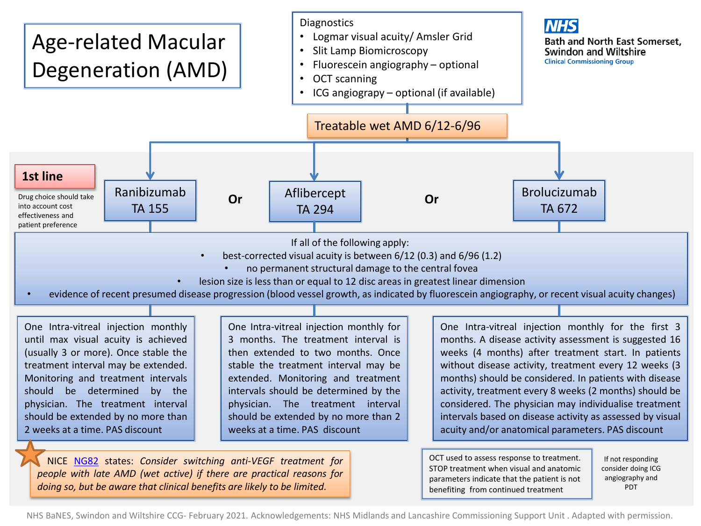

*people with late AMD (wet active) if there are practical reasons for doing so, but be aware that clinical benefits are likely to be limited.*

NHS BaNES, Swindon and Wiltshire CCG- February 2021. Acknowledgements: NHS Midlands and Lancashire Commissioning Support Unit . Adapted with permission.

parameters indicate that the patient is not benefiting from continued treatment

angiography and PDT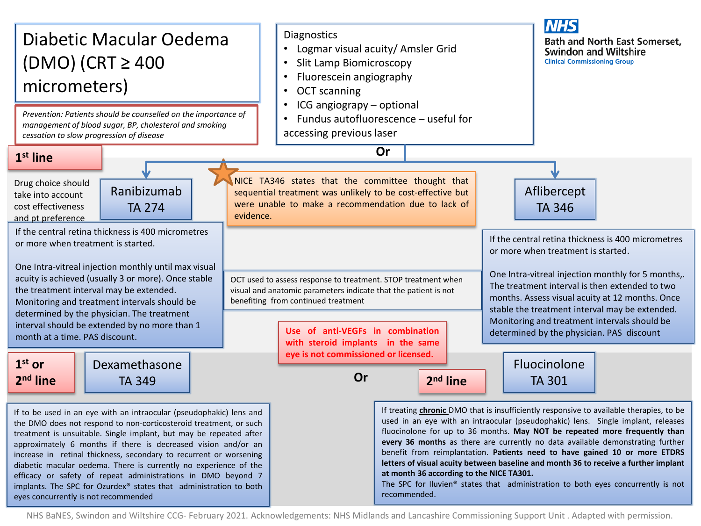

NHS BaNES, Swindon and Wiltshire CCG- February 2021. Acknowledgements: NHS Midlands and Lancashire Commissioning Support Unit . Adapted with permission.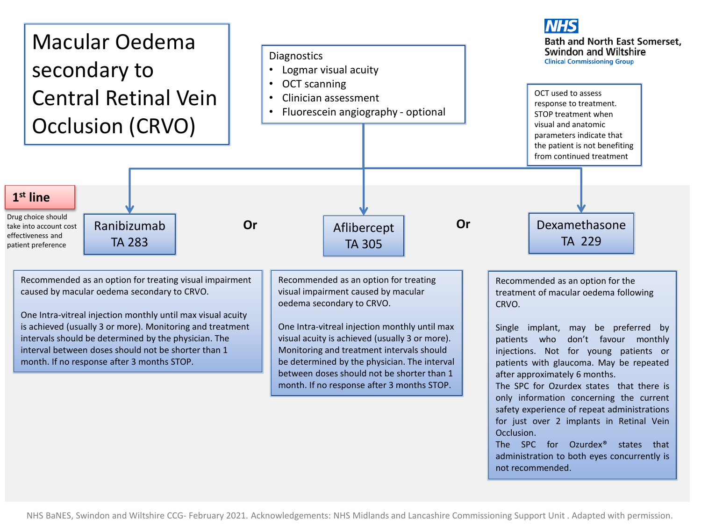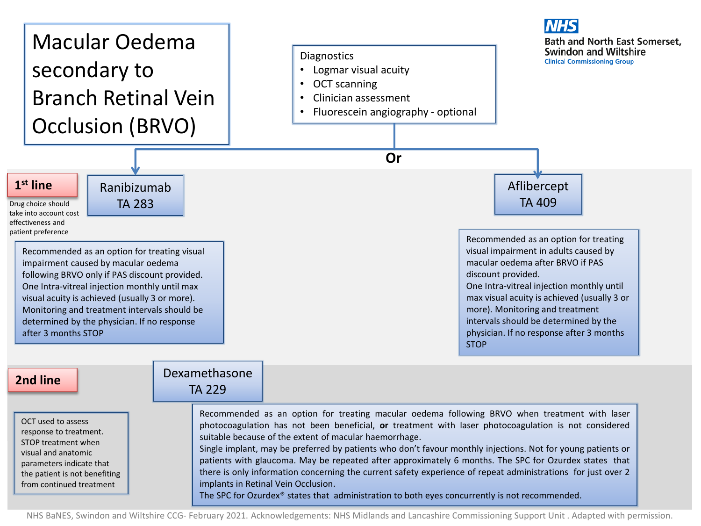

NHS BaNES, Swindon and Wiltshire CCG- February 2021. Acknowledgements: NHS Midlands and Lancashire Commissioning Support Unit . Adapted with permission.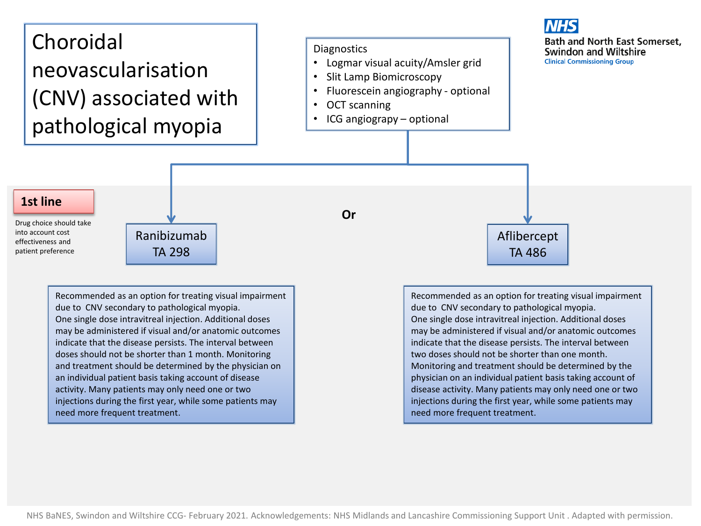## Choroidal neovascularisation (CNV) associated with pathological myopia

## **Diagnostics**

- Logmar visual acuity/Amsler grid
- Slit Lamp Biomicroscopy
- Fluorescein angiography optional
- OCT scanning
- ICG angiograpy optional



## **1st line**

Drug choice should take into account cost effectiveness and patient preference

Ranibizumab TA 298

Recommended as an option for treating visual impairment due to CNV secondary to pathological myopia. One single dose intravitreal injection. Additional doses may be administered if visual and/or anatomic outcomes indicate that the disease persists. The interval between doses should not be shorter than 1 month. Monitoring and treatment should be determined by the physician on an individual patient basis taking account of disease activity. Many patients may only need one or two injections during the first year, while some patients may need more frequent treatment.

**Or**

Recommended as an option for treating visual impairment due to CNV secondary to pathological myopia. One single dose intravitreal injection. Additional doses may be administered if visual and/or anatomic outcomes indicate that the disease persists. The interval between two doses should not be shorter than one month. Monitoring and treatment should be determined by the physician on an individual patient basis taking account of disease activity. Many patients may only need one or two injections during the first year, while some patients may need more frequent treatment.

Aflibercept TA 486

NHS BaNES, Swindon and Wiltshire CCG- February 2021. Acknowledgements: NHS Midlands and Lancashire Commissioning Support Unit . Adapted with permission.